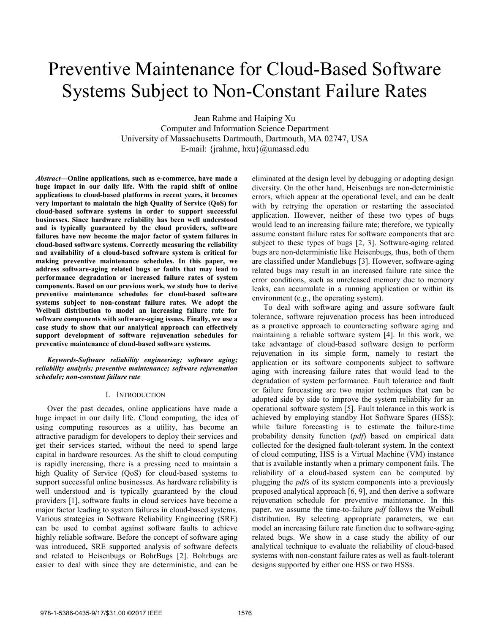# Preventive Maintenance for Cloud-Based Software Systems Subject to Non-Constant Failure Rates

Jean Rahme and Haiping Xu Computer and Information Science Department University of Massachusetts Dartmouth, Dartmouth, MA 02747, USA E-mail: {jrahme, hxu}@umassd.edu

*Abstract***—Online applications, such as e-commerce, have made a huge impact in our daily life. With the rapid shift of online applications to cloud-based platforms in recent years, it becomes very important to maintain the high Quality of Service (QoS) for cloud-based software systems in order to support successful businesses. Since hardware reliability has been well understood and is typically guaranteed by the cloud providers, software failures have now become the major factor of system failures in cloud-based software systems. Correctly measuring the reliability and availability of a cloud-based software system is critical for making preventive maintenance schedules. In this paper, we address software-aging related bugs or faults that may lead to performance degradation or increased failure rates of system components. Based on our previous work, we study how to derive preventive maintenance schedules for cloud-based software systems subject to non-constant failure rates. We adopt the Weibull distribution to model an increasing failure rate for software components with software-aging issues. Finally, we use a case study to show that our analytical approach can effectively support development of software rejuvenation schedules for preventive maintenance of cloud-based software systems.** 

*Keywords-Software reliability engineering; software aging; reliability analysis; preventive maintenance; software rejuvenation schedule; non-constant failure rate* 

# I. INTRODUCTION

Over the past decades, online applications have made a huge impact in our daily life. Cloud computing, the idea of using computing resources as a utility, has become an attractive paradigm for developers to deploy their services and get their services started, without the need to spend large capital in hardware resources. As the shift to cloud computing is rapidly increasing, there is a pressing need to maintain a high Quality of Service (QoS) for cloud-based systems to support successful online businesses. As hardware reliability is well understood and is typically guaranteed by the cloud providers [1], software faults in cloud services have become a major factor leading to system failures in cloud-based systems. Various strategies in Software Reliability Engineering (SRE) can be used to combat against software faults to achieve highly reliable software. Before the concept of software aging was introduced**,** SRE supported analysis of software defects and related to Heisenbugs or BohrBugs [2]. Bohrbugs are easier to deal with since they are deterministic, and can be

eliminated at the design level by debugging or adopting design diversity. On the other hand, Heisenbugs are non-deterministic errors, which appear at the operational level, and can be dealt with by retrying the operation or restarting the associated application. However, neither of these two types of bugs would lead to an increasing failure rate; therefore, we typically assume constant failure rates for software components that are subject to these types of bugs [2, 3]. Software-aging related bugs are non-deterministic like Heisenbugs, thus, both of them are classified under Mandlebugs [3]. However, software-aging related bugs may result in an increased failure rate since the error conditions, such as unreleased memory due to memory leaks, can accumulate in a running application or within its environment (e.g., the operating system).

To deal with software aging and assure software fault tolerance, software rejuvenation process has been introduced as a proactive approach to counteracting software aging and maintaining a reliable software system [4]. In this work, we take advantage of cloud-based software design to perform rejuvenation in its simple form, namely to restart the application or its software components subject to software aging with increasing failure rates that would lead to the degradation of system performance. Fault tolerance and fault or failure forecasting are two major techniques that can be adopted side by side to improve the system reliability for an operational software system [5]. Fault tolerance in this work is achieved by employing standby Hot Software Spares (HSS); while failure forecasting is to estimate the failure-time probability density function (*pdf*) based on empirical data collected for the designed fault-tolerant system. In the context of cloud computing, HSS is a Virtual Machine (VM) instance that is available instantly when a primary component fails. The reliability of a cloud-based system can be computed by plugging the *pdf*s of its system components into a previously proposed analytical approach [6, 9], and then derive a software rejuvenation schedule for preventive maintenance. In this paper, we assume the time-to-failure *pdf* follows the Weibull distribution. By selecting appropriate parameters, we can model an increasing failure rate function due to software-aging related bugs. We show in a case study the ability of our analytical technique to evaluate the reliability of cloud-based systems with non-constant failure rates as well as fault-tolerant designs supported by either one HSS or two HSSs.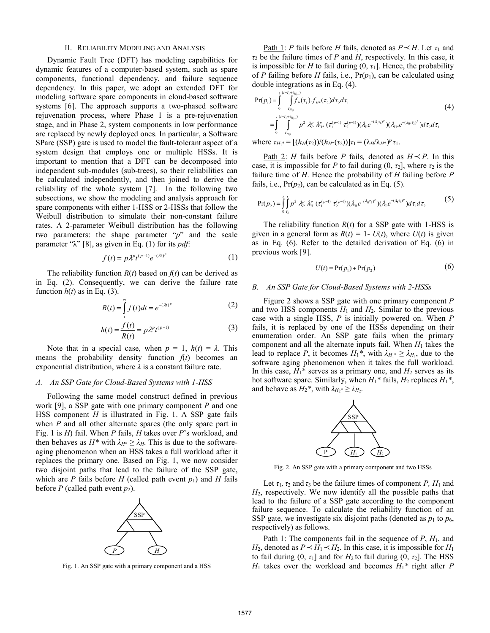#### II. RELIABILITY MODELING AND ANALYSIS

Dynamic Fault Tree (DFT) has modeling capabilities for dynamic features of a computer-based system, such as spare components, functional dependency, and failure sequence dependency. In this paper, we adopt an extended DFT for modeling software spare components in cloud-based software systems [6]. The approach supports a two-phased software rejuvenation process, where Phase 1 is a pre-rejuvenation stage, and in Phase 2, system components in low performance are replaced by newly deployed ones. In particular, a Software SPare (SSP) gate is used to model the fault-tolerant aspect of a system design that employs one or multiple HSSs. It is important to mention that a DFT can be decomposed into independent sub-modules (sub-trees), so their reliabilities can be calculated independently, and then joined to derive the reliability of the whole system [7]. In the following two subsections, we show the modeling and analysis approach for spare components with either 1-HSS or 2-HSSs that follow the Weibull distribution to simulate their non-constant failure rates. A 2-parameter Weibull distribution has the following two parameters: the shape parameter "*p*" and the scale parameter "λ" [8], as given in Eq. (1) for its *pdf*:

$$
f(t) = p\lambda^p t^{(p-1)} e^{-(\lambda t)^p}
$$
 (1)

The reliability function  $R(t)$  based on  $f(t)$  can be derived as in Eq. (2). Consequently, we can derive the failure rate function  $h(t)$  as in Eq. (3).

$$
R(t) = \int_{t}^{\infty} f(t)dt = e^{-(\lambda t)^{p}}
$$
 (2)

$$
h(t) = \frac{f(t)}{R(t)} = p\lambda^p t^{(p-1)}
$$
 (3)

Note that in a special case, when  $p = 1$ ,  $h(t) = \lambda$ . This means the probability density function  $f(t)$  becomes an exponential distribution, where *λ* is a constant failure rate.

# *A. An SSP Gate for Cloud-Based Systems with 1-HSS*

Following the same model construct defined in previous work [9], a SSP gate with one primary component *P* and one HSS component *H* is illustrated in Fig. 1. A SSP gate fails when *P* and all other alternate spares (the only spare part in Fig. 1 is *H*) fail. When *P* fails, *H* takes over *P*'s workload, and then behaves as  $H^*$  with  $\lambda_{H^*} \geq \lambda_H$ . This is due to the softwareaging phenomenon when an HSS takes a full workload after it replaces the primary one. Based on Fig. 1, we now consider two disjoint paths that lead to the failure of the SSP gate, which are *P* fails before *H* (called path event  $p_1$ ) and *H* fails before  $P$  (called path event  $p_2$ ).



Fig. 1. An SSP gate with a primary component and a HSS

Path 1: *P* fails before *H* fails, denoted as  $P \prec H$ . Let  $\tau_1$  and *τ*2 be the failure times of *P* and *H*, respectively. In this case, it is impossible for *H* to fail during  $(0, \tau_1]$ . Hence, the probability of *P* failing before *H* fails, i.e., Pr(*p*1), can be calculated using double integrations as in Eq. (4).

$$
Pr(p_1) = \int_{0}^{t} \int_{\tau_{H_1}}^{(t-\tau_1 + \tau_{H_1})} f_P(\tau_1) \cdot f_{H^*}(\tau_2) d\tau_2 d\tau_1
$$
\n
$$
= \int_{0}^{t} \int_{\tau_{H_1}}^{(t-\tau_1 + \tau_{H_1})} p^2 \lambda_P^p \lambda_{H^*}^p (\tau_1^{(p-1)} \tau_2^{(p-1)}) (\lambda_P e^{-(\lambda_P \tau_1)^p}) (\lambda_{H^*} e^{-(\lambda_{H^*} \tau_2)^p}) d\tau_2 d\tau_1
$$
\nwhere  $\tau_{H_1}^* = \left[ (h_H(\tau_2)) / (h_{H^*}(\tau_2)) \right] \tau_1 = (\lambda_H / \lambda_{H^*})^p \tau_1$ .

Path 2: *H* fails before *P* fails, denoted as  $H \prec P$ . In this case, it is impossible for *P* to fail during  $(0, \tau_2]$ , where  $\tau_2$  is the failure time of *H*. Hence the probability of *H* failing before *P* fails, i.e.,  $Pr(p_2)$ , can be calculated as in Eq. (5).

$$
Pr(p_2) = \int_0^t \int_{\tau_2}^t p^2 \lambda_p^p \lambda_H^p (\tau_1^{(p-1)} \tau_2^{(p-1)}) (\lambda_H e^{-(\lambda_H \tau_2)^p}) (\lambda_p e^{-(\lambda_p \tau_1)^p}) d\tau_1 d\tau_2
$$
 (5)

The reliability function  $R(t)$  for a SSP gate with 1-HSS is given in a general form as  $R(t) = 1 - U(t)$ , where  $U(t)$  is given as in Eq. (6). Refer to the detailed derivation of Eq. (6) in previous work [9].

$$
U(t) = \Pr(p_1) + \Pr(p_2)
$$
 (6)

#### *B. An SSP Gate for Cloud-Based Systems with 2-HSSs*

Figure 2 shows a SSP gate with one primary component *P* and two HSS components  $H_1$  and  $H_2$ . Similar to the previous case with a single HSS, *P* is initially powered on. When *P* fails, it is replaced by one of the HSSs depending on their enumeration order. An SSP gate fails when the primary component and all the alternate inputs fail. When  $H_1$  takes the lead to replace *P*, it becomes  $H_1^*$ , with  $\lambda_{H_1^*} \geq \lambda_{H_1}$ , due to the software aging phenomenon when it takes the full workload. In this case,  $H_1^*$  serves as a primary one, and  $H_2$  serves as its hot software spare. Similarly, when  $H_1^*$  fails,  $H_2$  replaces  $H_1^*$ , and behave as  $H_2^*$ , with  $\lambda_{H_2^*} \geq \lambda_{H_2}$ .



Fig. 2. An SSP gate with a primary component and two HSSs

Let  $\tau_1$ ,  $\tau_2$  and  $\tau_3$  be the failure times of component *P*,  $H_1$  and *H*2, respectively. We now identify all the possible paths that lead to the failure of a SSP gate according to the component failure sequence. To calculate the reliability function of an SSP gate, we investigate six disjoint paths (denoted as  $p_1$  to  $p_6$ , respectively) as follows.

Path 1: The components fail in the sequence of *P*, *H*1, and *H*<sub>2</sub>, denoted as  $P \prec H_1 \prec H_2$ . In this case, it is impossible for  $H_1$ to fail during  $(0, \tau_1]$  and for  $H_2$  to fail during  $(0, \tau_2]$ . The HSS  $H_1$  takes over the workload and becomes  $H_1^*$  right after *P*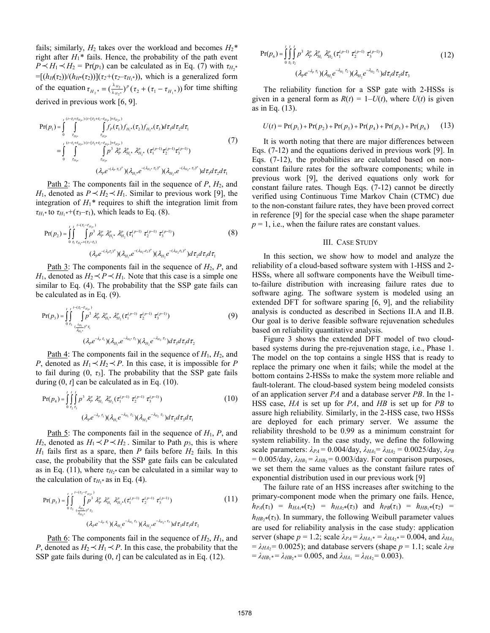fails; similarly,  $H_2$  takes over the workload and becomes  $H_2^*$ right after  $H_1^*$  fails. Hence, the probability of the path event  $P \prec H_1 \prec H_2$  = Pr(*p*<sub>1</sub>) can be calculated as in Eq. (7) with  $\tau_{H_2^*}$  $=[(h_H(\tau_2))/(h_{H^*}(\tau_2))](\tau_2+(\tau_2-\tau_{H_1^*}))$ , which is a generalized form of the equation  $\tau_{H_2^*} = (\frac{\lambda_{H_2}}{\lambda_{H_2^*}})^p (\tau_2 + (\tau_1 - \tau_{H_1^*}))$  $\tau_{H_2^*} = \left(\frac{\lambda_{H_2}}{\lambda_{H_2^*}}\right)^p \left(\tau_2 + \left(\tau_1 - \tau_{H_1^*}\right)\right)$  for time shifting derived in previous work [6, 9].

$$
Pr(p_{1}) = \int_{0}^{t} \int_{\tau_{H_{1}+}}^{(t-\tau_{1}+\tau_{H_{1}+})(t-\tau_{2}+\tau_{1}-\tau_{H_{1}+}+\tau_{H_{2}+})} \int_{\tau_{H_{2}+}}^{f_{P}(\tau_{1})} f_{H_{1}^{*}}(\tau_{2}) f_{H_{2}^{*}}(\tau_{3}) d\tau_{3} d\tau_{2} d\tau_{1}
$$
\n
$$
= \int_{0}^{t} \int_{\tau_{H_{1}+}}^{(t-\tau_{1}+\tau_{H_{1}+})(t-\tau_{2}+\tau_{1}-\tau_{H_{1}+}+\tau_{H_{2}+})} \int_{\tau_{H_{2}+}}^{f_{P}(\tau_{1})} \int_{\tau_{H_{2}+}}^{p} \lambda_{H_{1}^{*}}^{p} \lambda_{H_{1}^{*}}^{p} (\tau_{1}^{(p-1)}\tau_{2}^{(p-1)}\tau_{3}^{(p-1)})
$$
\n
$$
= (\lambda_{p}e^{-(\lambda_{p}\tau_{1})^{p}})(\lambda_{H_{1}^{*}}e^{-(\lambda_{H_{1}+}\tau_{2})^{p}})(\lambda_{H_{2}^{*}}e^{-(\lambda_{H_{2}+}\tau_{3})^{p}}) d\tau_{3} d\tau_{2} d\tau_{1}
$$
\n(7)

Path 2: The components fail in the sequence of *P*, *H*2, and *H*<sub>1</sub>, denoted as  $P \prec H_2 \prec H_1$ . Similar to previous work [9], the integration of  $H_1^*$  requires to shift the integration limit from  $\tau_{H_1^*}$  to  $\tau_{H_1^*}$ +( $\tau_{3-}\tau_1$ ), which leads to Eq. (8).

$$
Pr(p_2) = \int_{0}^{t} \int_{\tau_1}^{t - (\tau_1 - \tau_{H_1})} \int_{P}^{3} \lambda_P^p \lambda_{H_1}^p \lambda_{H_2}^p (\tau_1^{(p-1)} \tau_2^{(p-1)} \tau_3^{(p-1)})
$$
\n
$$
(\lambda_P e^{-(\lambda_P \tau_1)^p}) (\lambda_{H_1} e^{-(\lambda_{H_1} \tau_2)^p}) (\lambda_{H_2} e^{-(\lambda_{H_2} \tau_3)^p}) d\tau_2 d\tau_3 d\tau_1
$$
\n(8)

Path 3: The components fail in the sequence of *H*2, *P*, and *H*<sub>1</sub>, denoted as  $H_2 \prec P \prec H_1$ . Note that this case is a simple one similar to Eq. (4). The probability that the SSP gate fails can be calculated as in Eq. (9).

$$
Pr(p_3) = \int_0^t \int_0^{r_1} \int_0^{r_2} \int_{r_3}^{r_4} \int_{r_4}^{p} \int_{r_4}^{p} \int_{r_4}^{p} \int_{r_3}^{p} \left( \tau_1^{(p-1)} \tau_2^{(p-1)} \tau_3^{(p-1)} \right)
$$
\n
$$
= \int_0^{r_1} \frac{\int_0^{r_4} \int_{r_4}^{r_4} \int_{r_4}^{r_4} \int_{r_4}^{r_4} \int_{r_4}^{r_4} \int_{r_4}^{r_4} \int_{r_4}^{r_4} \int_{r_4}^{r_4} \int_{r_4}^{r_4} \int_{r_4}^{r_4} \int_{r_4}^{r_4} \int_{r_4}^{r_4} \int_{r_4}^{r_4} \int_{r_4}^{r_4} \int_{r_4}^{r_4} \int_{r_4}^{r_4} \int_{r_4}^{r_4} \int_{r_4}^{r_4} \int_{r_4}^{r_4} \int_{r_4}^{r_4} \int_{r_4}^{r_4} \int_{r_4}^{r_4} \int_{r_4}^{r_4} \int_{r_4}^{r_4} \int_{r_4}^{r_4} \int_{r_4}^{r_4} \int_{r_4}^{r_4} \int_{r_4}^{r_4} \int_{r_4}^{r_4} \int_{r_4}^{r_4} \int_{r_4}^{r_4} \int_{r_4}^{r_4} \int_{r_4}^{r_4} \int_{r_4}^{r_4} \int_{r_4}^{r_4} \int_{r_4}^{r_4} \int_{r_4}^{r_4} \int_{r_4}^{r_4} \int_{r_4}^{r_4} \int_{r_4}^{r_4} \int_{r_4}^{r_4} \int_{r_4}^{r_4} \int_{r_4}^{r_4} \int_{r_4}^{r_4} \int_{r_4}^{r_4} \int_{r_4}^{r_4} \int_{r_4}^{r_4} \int_{r_4}^{r_4} \int_{r_4}^{r_4} \int_{r_4}^{r_4} \int_{r_4}^{r_4} \int_{r_4}^{r_4
$$

Path 4: The components fail in the sequence of *H*1, *H*2, and *P*, denoted as  $H_1 \prec H_2 \prec P$ . In this case, it is impossible for *P* to fail during  $(0, \tau_3]$ . The probability that the SSP gate fails during (0, *t*] can be calculated as in Eq. (10).

$$
Pr(p_4) = \int_0^t \int_0^t \int_p^3 P^3 \lambda_p^p \lambda_{H_1}^p \lambda_{H_2}^p (\tau_1^{(p-1)} \tau_2^{(p-1)} \tau_3^{(p-1)})
$$
\n
$$
(\lambda_p e^{-\lambda_p \tau_1}) (\lambda_{H_1} e^{-\lambda_{H_1} \tau_2}) (\lambda_{H_2} e^{-\lambda_{H_2} \tau_3}) d\tau_2 d\tau_3 d\tau_1
$$
\n(10)

Path 5: The components fail in the sequence of *H*1, *P*, and *H*<sub>2</sub>, denoted as  $H_1 \prec P \prec H_2$ . Similar to Path  $p_3$ , this is where  $H_1$  fails first as a spare, then *P* fails before  $H_2$  fails. In this case, the probability that the SSP gate fails can be calculated as in Eq. (11), where  $\tau_{H_2^*}$  can be calculated in a similar way to the calculation of  $\tau_{H_1^*}$  as in Eq. (4).

$$
Pr(p_{s}) = \int_{0}^{t} \int_{\tau_{2}}^{t - (r_{2} - r_{B_{2}s})} \int_{\tau_{3}}^{p} \lambda_{p}^{p} \lambda_{H_{1}}^{p} \lambda_{H_{2}}^{p}(\tau_{1}^{(p-1)} \tau_{2}^{(p-1)} \tau_{3}^{(p-1)})
$$
\n
$$
(\lambda_{p} e^{-\lambda_{p} \tau_{1}}) (\lambda_{H_{1}} e^{-\lambda_{H_{1}} \tau_{2}}) (\lambda_{H_{2}} e^{-\lambda_{H_{2}} \tau_{3}}) d\tau_{3} d\tau_{1} d\tau_{2}
$$
\n(11)

Path 6: The components fail in the sequence of *H*2, *H*1, and *P*, denoted as  $H_2 \prec H_1 \prec P$ . In this case, the probability that the SSP gate fails during (0, *t*] can be calculated as in Eq. (12).

$$
Pr(p_6) = \int_0^l \int_0^l \int_p^1 p^3 \ \mathcal{X}_p^p \ \mathcal{X}_{H_1}^p \ \mathcal{X}_{H_2}^p (\tau_1^{(p-1)} \ \tau_2^{(p-1)} \ \tau_3^{(p-1)})
$$
\n
$$
(\mathcal{X}_{p} e^{-\lambda_p \ \tau_1}) (\mathcal{X}_{H_1} e^{-\lambda_{H_1} \ \tau_2}) (\mathcal{X}_{H_2} e^{-\lambda_{H_2} \ \tau_3}) d\tau_1 d\tau_2 d\tau_3
$$
\n(12)

The reliability function for a SSP gate with 2-HSSs is given in a general form as  $R(t) = 1-U(t)$ , where  $U(t)$  is given as in Eq. (13).

$$
U(t) = Pr(p_1) + Pr(p_2) + Pr(p_3) + Pr(p_4) + Pr(p_5) + Pr(p_6)
$$
 (13)

It is worth noting that there are major differences between Eqs. (7-12) and the equations derived in previous work [9]. In Eqs. (7-12), the probabilities are calculated based on nonconstant failure rates for the software components; while in previous work [9], the derived equations only work for constant failure rates. Though Eqs. (7-12) cannot be directly verified using Continuous Time Markov Chain (CTMC) due to the non-constant failure rates, they have been proved correct in reference [9] for the special case when the shape parameter  $p = 1$ , i.e., when the failure rates are constant values.

### III. CASE STUDY

In this section, we show how to model and analyze the reliability of a cloud-based software system with 1-HSS and 2- HSSs, where all software components have the Weibull timeto-failure distribution with increasing failure rates due to software aging. The software system is modeled using an extended DFT for software sparing [6, 9], and the reliability analysis is conducted as described in Sections II.A and II.B. Our goal is to derive feasible software rejuvenation schedules based on reliability quantitative analysis.

Figure 3 shows the extended DFT model of two cloudbased systems during the pre-rejuvenation stage, i.e., Phase 1. The model on the top contains a single HSS that is ready to replace the primary one when it fails; while the model at the bottom contains 2-HSSs to make the system more reliable and fault-tolerant. The cloud-based system being modeled consists of an application server *PA* and a database server *PB*. In the 1- HSS case, *HA* is set up for *PA*, and *HB* is set up for *PB* to assure high reliability*.* Similarly, in the 2-HSS case, two HSSs are deployed for each primary server. We assume the reliability threshold to be 0.99 as a minimum constraint for system reliability. In the case study, we define the following scale parameters:  $\lambda_{PA}$  = 0.004/day,  $\lambda_{HA_1}$  =  $\lambda_{HA_2}$  = 0.0025/day,  $\lambda_{PB}$ = 0.005/day,  $\lambda_{HB_1} = \lambda_{HB_2} = 0.003$ /day. For comparison purposes, we set them the same values as the constant failure rates of exponential distribution used in our previous work [9]

The failure rate of an HSS increases after switching to the primary-component mode when the primary one fails. Hence,  $h_{PA}(\tau_1) = h_{HA_1*}(\tau_2) = h_{HA_2*}(\tau_3)$  and  $h_{PB}(\tau_1) = h_{HB_1*}(\tau_2) =$  $h_{HB,*}(\tau_3)$ . In summary, the following Weibull parameter values are used for reliability analysis in the case study: application server (shape  $p = 1.2$ ; scale  $\lambda_{PA} = \lambda_{HA_1} = \lambda_{HA_2} = 0.004$ , and  $\lambda_{HA_1}$  $= \lambda_{H A2} = 0.0025$ ; and database servers (shape  $p = 1.1$ ; scale  $\lambda_{PB}$  $= \lambda_{HB_1} = \lambda_{HB_2} = 0.005$ , and  $\lambda_{HA_1} = \lambda_{HA_2} = 0.003$ ).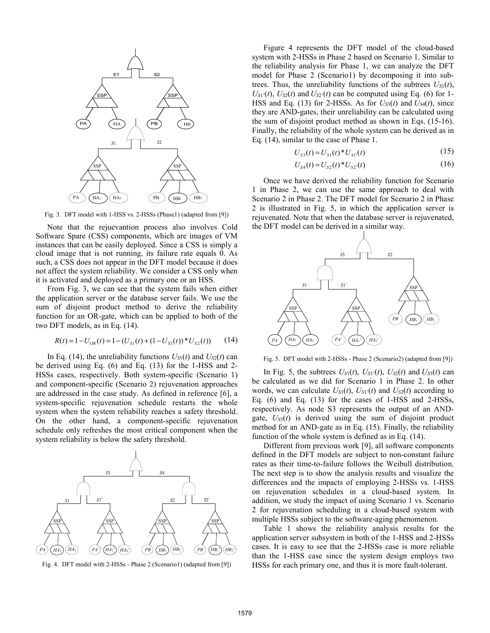

Fig. 3. DFT model with 1-HSS vs. 2-HSSs (Phase1) (adapted from [9])

Note that the rejuevantion process also involves Cold Software Spare (CSS) components, which are images of VM instances that can be easily deployed. Since a CSS is simply a cloud image that is not running, its failure rate equals 0. As such, a CSS does not appear in the DFT model because it does not affect the system reliability. We consider a CSS only when it is activated and deployed as a primary one or an HSS.

From Fig. 3, we can see that the system fails when either the application server or the database server fails. We use the sum of disjoint product method to derive the reliability function for an OR-gate, which can be applied to both of the two DFT models, as in Eq. (14).

$$
R(t) = 1 - U_{OR}(t) = 1 - (U_{S1}(t) + (1 - U_{S1}(t)) * U_{S2}(t))
$$
 (14)

In Eq. (14), the unreliability functions  $U_{S1}(t)$  and  $U_{S2}(t)$  can be derived using Eq. (6) and Eq. (13) for the 1-HSS and 2- HSSs cases, respectively. Both system-specific (Scenario 1) and component-specific (Scenario 2) rejuvenation approaches are addressed in the case study. As defined in reference [6], a system-specific rejuvenation schedule restarts the whole system when the system reliability reaches a safety threshold. On the other hand, a component-specific rejuvenation schedule only refreshes the most critical component when the system reliability is below the safety threshold.



Fig. 4. DFT model with 2-HSSs - Phase 2 (Scenario1) (adapted from [9])

Figure 4 represents the DFT model of the cloud-based system with 2-HSSs in Phase 2 based on Scenario 1. Similar to the reliability analysis for Phase 1, we can analyze the DFT model for Phase 2 (Scenario1) by decomposing it into subtrees. Thus, the unreliability functions of the subtrees  $U_{S1}(t)$ ,  $U_{S1}(t)$ ,  $U_{S2}(t)$  and  $U_{S2}(t)$  can be computed using Eq. (6) for 1-HSS and Eq. (13) for 2-HSSs. As for  $U_{S3}(t)$  and  $U_{S4}(t)$ , since they are AND-gates, their unreliability can be calculated using the sum of disjoint product method as shown in Eqs. (15-16). Finally, the reliability of the whole system can be derived as in Eq. (14), similar to the case of Phase 1.

$$
U_{s3}(t) = U_{s1}(t) * U_{s1}(t)
$$
\n(15)

$$
U_{S4}(t) = U_{S2}(t) * U_{S2}(t)
$$
\n(16)

Once we have derived the reliability function for Scenario 1 in Phase 2, we can use the same approach to deal with Scenario 2 in Phase 2. The DFT model for Scenario 2 in Phase 2 is illustrated in Fig. 5, in which the application server is rejuvenated. Note that when the database server is rejuvenated, the DFT model can be derived in a similar way.



Fig. 5. DFT model with 2-HSSs - Phase 2 (Scenario2) (adapted from [9])

In Fig. 5, the subtrees  $U_{S1}(t)$ ,  $U_{S1}(t)$ ,  $U_{S2}(t)$  and  $U_{S3}(t)$  can be calculated as we did for Scenario 1 in Phase 2. In other words, we can calculate  $U_{S1}(t)$ ,  $U_{S1}(t)$  and  $U_{S2}(t)$  according to Eq. (6) and Eq. (13) for the cases of 1-HSS and 2-HSSs, respectively. As node S3 represents the output of an ANDgate,  $U_{S3}(t)$  is derived using the sum of disjoint product method for an AND-gate as in Eq. (15). Finally, the reliability function of the whole system is defined as in Eq. (14).

Different from previous work [9], all software components defined in the DFT models are subject to non-constant failure rates as their time-to-failure follows the Weibull distribution. The next step is to show the analysis results and visualize the differences and the impacts of employing 2-HSSs vs. 1-HSS on rejuvenation schedules in a cloud-based system. In addition, we study the impact of using Scenario 1 vs. Scenario 2 for rejuvenation scheduling in a cloud-based system with multiple HSSs subject to the software-aging phenomenon.

Table 1 shows the reliability analysis results for the application server subsystem in both of the 1-HSS and 2-HSSs cases. It is easy to see that the 2-HSSs case is more reliable than the 1-HSS case since the system design employs two HSSs for each primary one, and thus it is more fault-tolerant.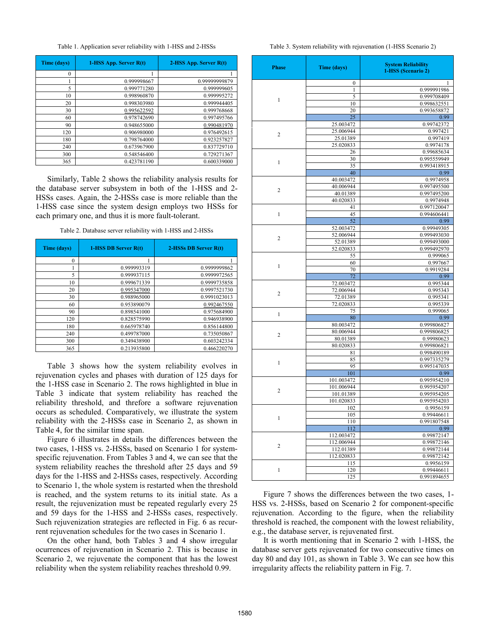#### Table 3. System reliability with rejuvenation (1-HSS Scenario 2)

| <b>Phase</b>   | Time (days)            | <b>System Reliability</b><br>1-HSS (Scenario 2) |
|----------------|------------------------|-------------------------------------------------|
|                | $\boldsymbol{0}$       |                                                 |
|                | 1                      | 0.999991986                                     |
| $\mathbf{1}$   | 5                      | 0.999708409                                     |
|                | 10                     | 0.998632551                                     |
|                | 20                     | 0.993658872                                     |
|                | 25                     | 0.99                                            |
|                | 25.003472              | 0.99742372                                      |
| 2              | 25.006944              | 0.997421                                        |
|                | 25.01389               | 0.997419                                        |
|                | 25.020833              | 0.9974178                                       |
|                | 26                     | 0.99685634                                      |
| $\mathbf{1}$   | 30                     | 0.995559949                                     |
|                | 35<br>40               | 0.993418915<br>0.99                             |
|                |                        |                                                 |
|                | 40.003472<br>40.006944 | 0.9974958<br>0.997495500                        |
| 2              | 40.01389               | 0.997495200                                     |
|                | 40.020833              | 0.9974948                                       |
|                | 41                     | 0.997120047                                     |
| 1              | 45                     | 0.994606441                                     |
|                | 52                     | 0.99                                            |
|                | 52.003472              | 0.99949305                                      |
|                | 52.006944              | 0.999493030                                     |
| 2              | 52.01389               | 0.999493000                                     |
|                | 52.020833              | 0.999492970                                     |
|                | 55                     | 0.999065                                        |
| $\mathbf{1}$   | 60                     | 0.997667                                        |
|                | 70                     | 0.9919284                                       |
|                | 72                     | 0.99                                            |
| 2              | 72.003472              | 0.995344                                        |
|                | 72.006944              | 0.995343                                        |
|                | 72.01389               | 0.995341                                        |
|                | 72.020833              | 0.995339                                        |
| $\mathbf{1}$   | 75                     | 0.999065                                        |
|                | 80                     | 0.99                                            |
|                | 80.003472              | 0.999806827                                     |
| $\overline{2}$ | 80.006944              | 0.999806825                                     |
|                | 80.01389               | 0.99980623                                      |
|                | 80.020833              | 0.999806821                                     |
|                | 81                     | 0.998490189                                     |
| $\mathbf{1}$   | 85                     | 0.997335279                                     |
|                | 95                     | 0.995147035                                     |
|                | 101                    | 0.99                                            |
|                | 101.003472             | 0.995954210                                     |
| $\overline{c}$ | 101.006944             | 0.995954207                                     |
|                | 101.01389              | 0.995954205                                     |
|                | 101.020833<br>102      | 0.995954203<br>0.9956159                        |
|                |                        |                                                 |
| $\mathbf{1}$   | 105<br>110             | 0.99446611<br>0.991807548                       |
|                | 112                    | 0.99                                            |
|                | 112.003472             | 0.99872147                                      |
| $\mathbf{2}$   | 112.006944             | 0.99872146                                      |
|                | 112.01389              | 0.99872144                                      |
|                | 112.020833             | 0.99872142                                      |
| $\mathbf{1}$   | 115                    | 0.9956159                                       |
|                | 120                    | 0.99446611                                      |
|                | 125                    | 0.991894655                                     |
|                |                        |                                                 |

Table 1. Application sever reliability with 1-HSS and 2-HSSs

| Time (days) | 1-HSS App. Server $R(t)$ | 2-HSS App. Server R(t) |
|-------------|--------------------------|------------------------|
| $\Omega$    |                          |                        |
| 1           | 0.999998667              | 0.99999999879          |
| 5           | 0.999771280              | 0.999999605            |
| 10          | 0.998960870              | 0.999995272            |
| 20          | 0.998303980              | 0.999944405            |
| 30          | 0.995622592              | 0.999768668            |
| 60          | 0.978742690              | 0.997495766            |
| 90          | 0.948655000              | 0.990481970            |
| 120         | 0.906980000              | 0.976492615            |
| 180         | 0.798764000              | 0.923257827            |
| 240         | 0.673967900              | 0.837729710            |
| 300         | 0.548546400              | 0.729271367            |
| 365         | 0.423781190              | 0.600339000            |

Similarly, Table 2 shows the reliability analysis results for the database server subsystem in both of the 1-HSS and 2- HSSs cases. Again, the 2-HSSs case is more reliable than the 1-HSS case since the system design employs two HSSs for each primary one, and thus it is more fault-tolerant.

Table 2. Database server reliability with 1-HSS and 2-HSSs

| Time (days) | 1-HSS DB Server R(t) | 2-HSSs DB Server R(t) |
|-------------|----------------------|-----------------------|
| $\theta$    | L                    |                       |
|             | 0.999993319          | 0.9999999862          |
| 5           | 0.999937115          | 0.9999972565          |
| 10          | 0.999671339          | 0.9999735858          |
| 20          | 0.995347000          | 0.9997521730          |
| 30          | 0.988965000          | 0.9991023013          |
| 60          | 0.953890079          | 0.992467550           |
| 90          | 0.898541000          | 0.975684900           |
| 120         | 0.828575990          | 0.946938900           |
| 180         | 0.665978740          | 0.856144800           |
| 240         | 0.499787000          | 0.735050867           |
| 300         | 0.349438900          | 0.603242334           |
| 365         | 0.213935800          | 0.466220270           |

Table 3 shows how the system reliability evolves in rejuvenation cycles and phases with duration of 125 days for the 1-HSS case in Scenario 2. The rows highlighted in blue in Table 3 indicate that system reliability has reached the reliability threshold, and threfore a software rejuvenation occurs as scheduled. Comparatively, we illustrate the system reliability with the 2-HSSs case in Scenario 2, as shown in Table 4, for the similar time span.

Figure 6 illustrates in details the differences between the two cases, 1-HSS vs. 2-HSSs, based on Scenario 1 for systemspecific rejuvenation. From Tables 3 and 4, we can see that the system reliability reaches the threshold after 25 days and 59 days for the 1-HSS and 2-HSSs cases, respectively. According to Scenario 1, the whole system is restarted when the threshold is reached, and the system returns to its initial state. As a result, the rejuvenization must be repeated regularly every 25 and 59 days for the 1-HSS and 2-HSSs cases, respectively. Such rejuvenization strategies are reflected in Fig. 6 as recurrent rejuvenation schedules for the two cases in Scenario 1.

On the other hand, both Tables 3 and 4 show irregular ocurrences of rejuvenation in Scenario 2. This is because in Scenario 2, we rejuvenate the component that has the lowest reliability when the system reliability reaches threshold 0.99.

Figure 7 shows the differences between the two cases, 1- HSS vs. 2-HSSs, based on Scenario 2 for component-specific rejuvenation. According to the figure, when the reliability threshold is reached, the component with the lowest reliability, e.g., the database server, is rejuvenated first.

It is worth mentioning that in Scenario 2 with 1-HSS, the database server gets rejuvenated for two consecutive times on day 80 and day 101, as shown in Table 3. We can see how this irregularity affects the reliability pattern in Fig. 7.